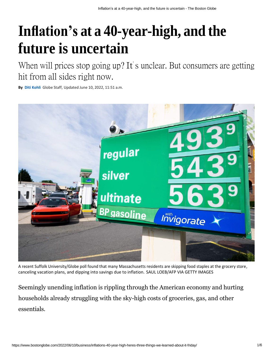## **Inflation's at a 40-year-high, and the future is uncertain**

When will prices stop going up? It's unclear. But consumers are getting hit from all sides right now.

**By Diti [Kohli](https://www.bostonglobe.com/about/staff-list/staff/diti-kohli/?p1=Article_Byline)** Globe Staff, Updated June 10, 2022, 11:51 a.m.



A recent Suffolk University/Globe poll found that many Massachusetts residents are skipping food staples at the grocery store, canceling vacation plans, and dipping into savings due to inflation. SAUL LOEB/AFP VIA GETTY IMAGES

Seemingly unending inflation is rippling through the American economy and hurting households already struggling with the sky-high costs of groceries, gas, and other essentials.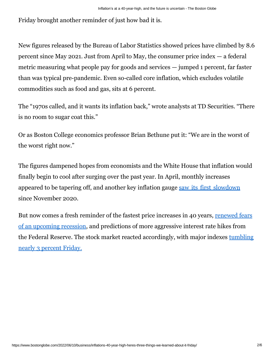Friday brought another reminder of just how bad it is.

New figures released by the Bureau of Labor Statistics showed prices have climbed by 8.6 percent since May 2021. Just from April to May, the consumer price index — a federal metric measuring what people pay for goods and services — jumped 1 percent, far faster than was typical pre-pandemic. Even so-called core inflation, which excludes volatile commodities such as food and gas, sits at 6 percent.

The "1970s called, and it wants its inflation back," wrote analysts at TD Securities. "There is no room to sugar coat this."

Or as Boston College economics professor Brian Bethune put it: "We are in the worst of the worst right now."

The figures dampened hopes from economists and the White House that inflation would finally begin to cool after surging over the past year. In April, monthly increases appeared to be tapering off, and another key inflation gauge saw its first [slowdown](https://www.bostonglobe.com/2022/05/27/business/key-inflation-gauge-slowed-still-high-63-percent-over-past-year/?p1=BGSearch_Overlay_Results&p1=Article_Inline_Text_Link) since November 2020.

[But now comes a fresh reminder of the fastest price increases in 40 years, renewed fears](https://www.bostonglobe.com/2022/05/21/nation/it-will-be-miracle-if-we-can-avoid-recession-more-bad-economic-news-stalks-biden-democrats/?p1=Article_Inline_Text_Link) [of an upcoming recession, and predictions of more aggressive interest rate hikes from](https://www.bostonglobe.com/2022/05/21/nation/it-will-be-miracle-if-we-can-avoid-recession-more-bad-economic-news-stalks-biden-democrats/?p1=Article_Inline_Text_Link) [the Federal Reserve. The stock market reacted accordingly, with major indexes tumbling](https://www.bostonglobe.com/2022/06/10/business/stocks-tumble-wall-street-shudders-after-inflation-worsens/?p1=Article_Inline_Text_Link&p1=Article_Inline_Text_Link) [nearly 3 percent Friday.](https://www.bostonglobe.com/2022/06/10/business/stocks-tumble-wall-street-shudders-after-inflation-worsens/?p1=Article_Inline_Text_Link&p1=Article_Inline_Text_Link)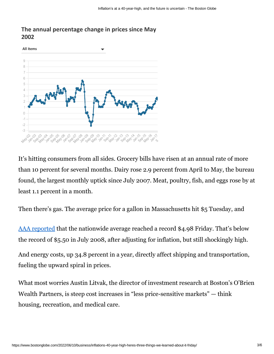## **The annual percentage change in prices since May 2002**



It's hitting consumers from all sides. Grocery bills have risen at an annual rate of more than 10 percent for several months. Dairy rose 2.9 percent from April to May, the bureau found, the largest monthly uptick since July 2007. Meat, poultry, fish, and eggs rose by at least 1.1 percent in a month.

Then there's gas. The average price for a gallon in Massachusetts hit \$5 Tuesday, and

[AAA reported](https://gasprices.aaa.com/) that the nationwide average reached a record \$4.98 Friday. That's below the record of \$5.50 in July 2008, after adjusting for inflation, but still shockingly high.

And energy costs, up 34.8 percent in a year, directly affect shipping and transportation, fueling the upward spiral in prices.

What most worries Austin Litvak, the director of investment research at Boston's O'Brien Wealth Partners, is steep cost increases in "less price-sensitive markets" — think housing, recreation, and medical care.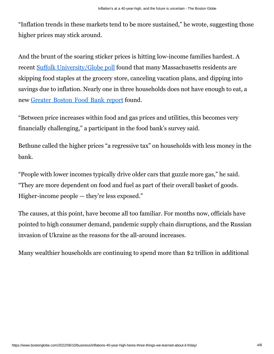"Inflation trends in these markets tend to be more sustained," he wrote, suggesting those higher prices may stick around.

And the brunt of the soaring sticker prices is hitting low-income families hardest. A recent [Suffolk University/Globe poll](https://www.bostonglobe.com/2022/05/17/metro/i-was-middle-class-now-i-feel-like-im-poverty-line-inflation-is-hitting-mass-residents-painfully-hard-despite-rosy-big-picture-stats/?p1=BGSearch_Overlay_Results&p1=Article_Inline_Text_Link) found that many Massachusetts residents are skipping food staples at the grocery store, canceling vacation plans, and dipping into savings due to inflation. Nearly one in three households does not have enough to eat, a new [Greater](https://www.bostonglobe.com/2022/06/06/business/hunger-rise-mass-aid-ends-food-costs-soar/?p1=BGSearch_Overlay_Results&p1=Article_Inline_Text_Link) Boston Food Bank report found.

"Between price increases within food and gas prices and utilities, this becomes very financially challenging," a participant in the food bank's survey said.

Bethune called the higher prices "a regressive tax" on households with less money in the bank.

"People with lower incomes typically drive older cars that guzzle more gas," he said. "They are more dependent on food and fuel as part of their overall basket of goods. Higher-income people — they're less exposed."

The causes, at this point, have become all too familiar. For months now, officials have pointed to high consumer demand, pandemic supply chain disruptions, and the Russian invasion of Ukraine as the reasons for the all-around increases.

Many wealthier households are continuing to spend more than \$2 trillion in additional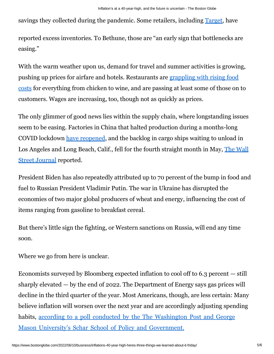savings they collected during the pandemic. Some retailers, including [Target,](https://www.bostonglobe.com/2022/06/07/business/target-sinks-after-cutting-profit-view-over-inventory-pain/?p1=BGSearch_Overlay_Results&p1=Article_Inline_Text_Link) have

reported excess inventories. To Bethune, those are "an early sign that bottlenecks are easing."

With the warm weather upon us, demand for travel and summer activities is growing, [pushing up prices for airfare and hotels. Restaurants are](https://www.bostonglobe.com/2022/06/06/business/two-years-after-lockdown-theres-little-good-news-restaurants-still-survival-mode/?p1=BGSearch_Overlay_Results&p1=Article_Inline_Text_Link) grappling with rising food costs for [everything](https://www.bostonglobe.com/2022/06/06/business/two-years-after-lockdown-theres-little-good-news-restaurants-still-survival-mode/?p1=BGSearch_Overlay_Results&p1=Article_Inline_Text_Link) from chicken to wine, and are passing at least some of those on to customers. Wages are increasing, too, though not as quickly as prices.

The only glimmer of good news lies within the supply chain, where longstanding issues seem to be easing. Factories in China that halted production during a months-long COVID lockdown [have reopened,](https://www.bostonglobe.com/2022/05/31/world/shanghai-taking-steps-emerge-covid-19-lockdown/?p1=BGSearch_Advanced_Results&p1=Article_Inline_Text_Link&p1=Article_Inline_Text_Link) and the backlog in cargo ships waiting to unload in [Los Angeles and Long Beach, Calif., fell for the fourth straight month in May,](https://www.wsj.com/articles/us-inflation-consumer-price-index-may-2022-11654810079) The Wall [Street Journal](https://www.wsj.com/articles/us-inflation-consumer-price-index-may-2022-11654810079) reported.

President Biden has also repeatedly attributed up to 70 percent of the bump in food and fuel to Russian President Vladimir Putin. The war in Ukraine has disrupted the economies of two major global producers of wheat and energy, influencing the cost of items ranging from gasoline to breakfast cereal.

But there's little sign the fighting, or Western sanctions on Russia, will end any time soon.

Where we go from here is unclear.

Economists surveyed by Bloomberg expected inflation to cool off to 6.3 percent — still sharply elevated  $-$  by the end of 2022. The Department of Energy says gas prices will decline in the third quarter of the year. Most Americans, though, are less certain: Many believe inflation will worsen over the next year and are accordingly adjusting spending habits, according to a poll conducted by the The [Washington](https://www.documentcloud.org/documents/22056399-2022-05-12-post-schar-school-trend-for-release) Post and George Mason University's Schar School of Policy and [Government.](https://www.documentcloud.org/documents/22056399-2022-05-12-post-schar-school-trend-for-release)